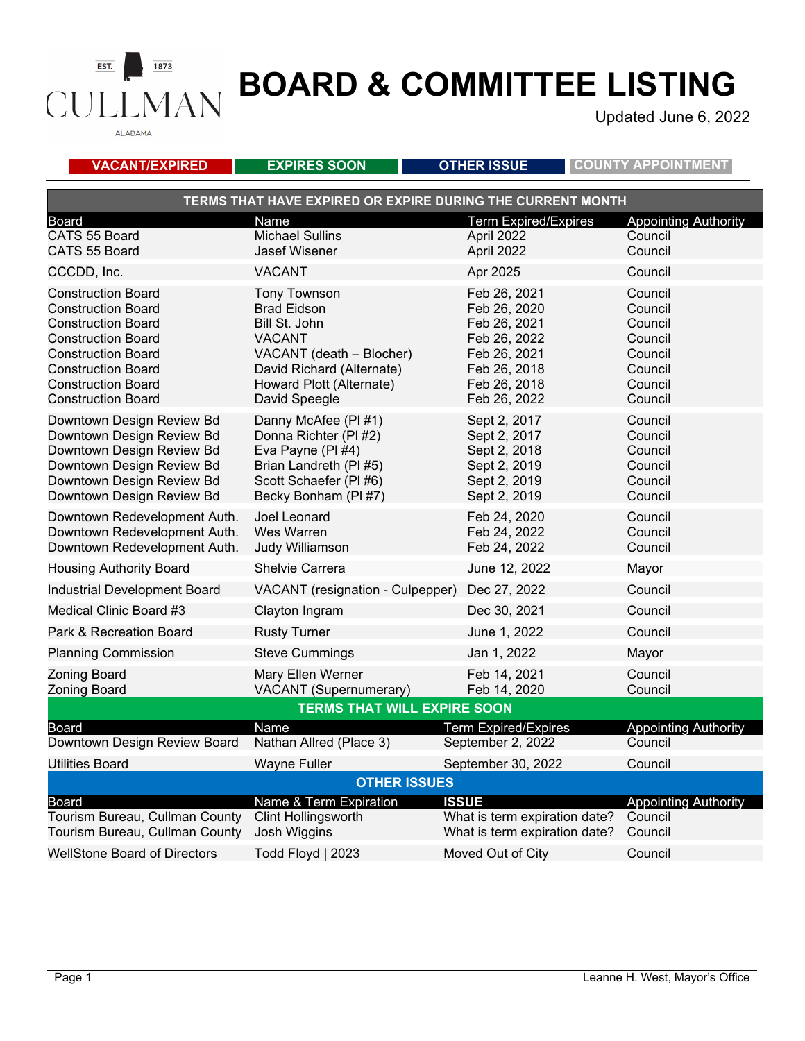**ALABAMA** 

### **BOARD & COMMITTEE LISTING**

Updated June 6, 2022

**VACANT/EXPIRED EXPIRES SOON OTHER ISSUE COUNTY APPOINTMENT TERMS THAT HAVE EXPIRED OR EXPIRE DURING THE CURRENT MONTH** Board Name Term Expired/Expires Appointing Authority CATS 55 Board **Michael Sullins April 2022** Council CATS 55 Board Jasef Wisener April 2022 Council CCCDD, Inc. VACANT Apr 2025 Council Construction Board Tony Townson Feb 26, 2021 Council Construction Board Brad Eidson Feb 26, 2020 Council Construction Board Bill St. John Feb 26, 2021 Council Construction Board VACANT Feb 26, 2022 Council Construction Board VACANT (death – Blocher) Feb 26, 2021 Council Construction Board David Richard (Alternate) Feb 26, 2018 Council Howard Plott (Alternate) Feb 26, 2018 Construction Board David Speegle Feb 26, 2022 Council Downtown Design Review Bd Danny McAfee (PI #1) Sept 2, 2017 Council<br>Downtown Design Review Bd Donna Richter (PI #2) Sept 2, 2017 Council Downtown Design Review Bd Donna Richter (PI #2) Sept 2, 2017 Council<br>Downtown Design Review Bd Eva Pavne (PI #4) Sept 2, 2018 Council Downtown Design Review Bd Eva Payne (PI #4) Sept 2, 2018 Downtown Design Review Bd Brian Landreth (PI #5) Sept 2, 2019 Council<br>Downtown Design Review Bd Scott Schaefer (PI #6) Sept 2, 2019 Council Downtown Design Review Bd Scott Schaefer (PI #6) Sept 2, 2019 Downtown Design Review Bd Becky Bonham (PI #7) Sept 2, 2019 Council Downtown Redevelopment Auth. Joel Leonard Feb 24, 2020 Council Downtown Redevelopment Auth. Mes Warren Feb 24, 2022 Council Downtown Redevelopment Auth. Judy Williamson Feb 24, 2022 Council Housing Authority Board Shelvie Carrera June 12, 2022 Mayor Industrial Development Board VACANT (resignation - Culpepper) Dec 27, 2022 Council Medical Clinic Board #3 Clayton Ingram Dec 30, 2021 Council Park & Recreation Board **Rusty Turner Recreation Board Rusty Turner Council** Planning Commission **Steve Cummings** Jan 1, 2022 Mayor Zoning Board Mary Ellen Werner Feb 14, 2021 Council Zoning Board VACANT (Supernumerary) Feb 14, 2020 Council **TERMS THAT WILL EXPIRE SOON** Board **Name Community Community Community** Board Term Expired/Expires Appointing Authority Downtown Design Review Board Nathan Allred (Place 3) September 2, 2022 Council Utilities Board **September 30, 2022** Council **OTHER ISSUES** Board **ISSUE** 1990 Board Mame & Term Expiration **ISSUE** 4. Appointing Authority<br>Tourism Bureau, Cullman County Clint Hollingsworth 1990 What is term expiration date? Council Tourism Bureau, Cullman County Tourism Bureau, Cullman County Josh Wiggins What is term expiration date? Council WellStone Board of Directors Todd Floyd | 2023 Moved Out of City Council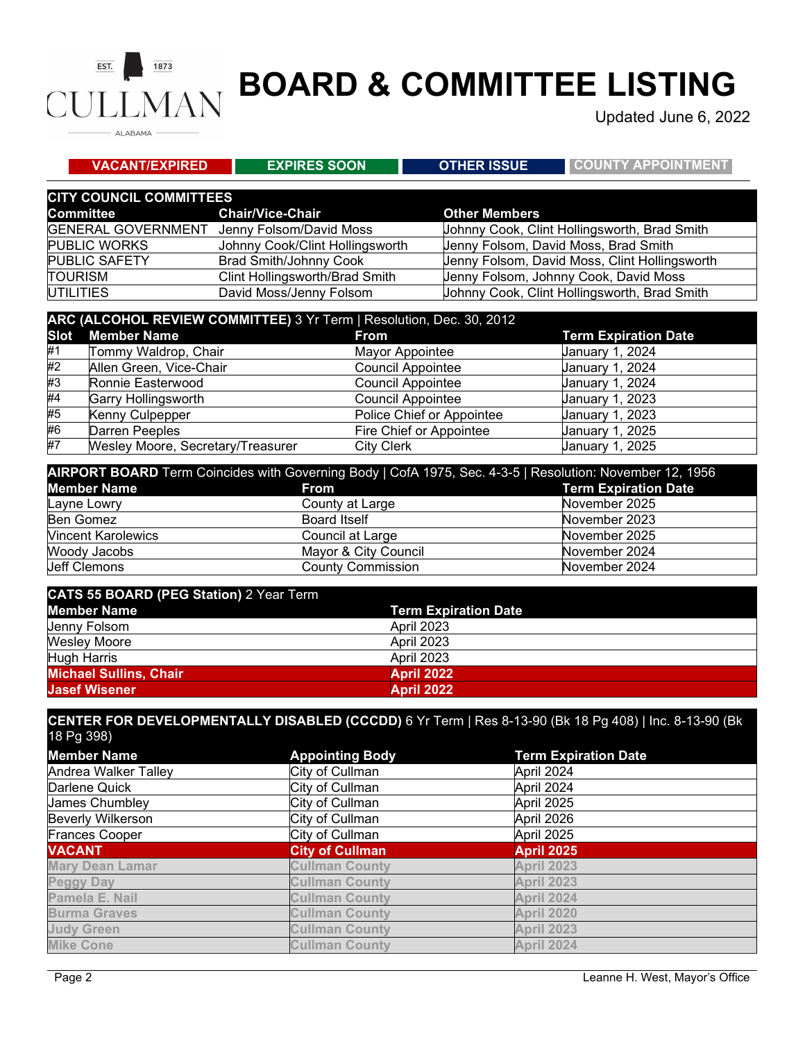#### $EST.$  $1873$ **JMAN** CUI ALABAMA

# **BOARD & COMMITTEE LISTING**

Updated June 6, 2022

| <b>EXPIRES SOON</b>            | <b>OTHER ISSUE</b>   | <b>COUNTY APPOINTMENT</b>                                                                                                                                                          |
|--------------------------------|----------------------|------------------------------------------------------------------------------------------------------------------------------------------------------------------------------------|
| <b>CITY COUNCIL COMMITTEES</b> |                      |                                                                                                                                                                                    |
| <b>Chair/Vice-Chair</b>        | <b>Other Members</b> |                                                                                                                                                                                    |
| Jenny Folsom/David Moss        |                      | Johnny Cook, Clint Hollingsworth, Brad Smith                                                                                                                                       |
|                                |                      | Jenny Folsom, David Moss, Brad Smith                                                                                                                                               |
| <b>Brad Smith/Johnny Cook</b>  |                      | Jenny Folsom, David Moss, Clint Hollingsworth                                                                                                                                      |
| Clint Hollingsworth/Brad Smith |                      | Jenny Folsom, Johnny Cook, David Moss                                                                                                                                              |
| David Moss/Jenny Folsom        |                      | Johnny Cook, Clint Hollingsworth, Brad Smith                                                                                                                                       |
|                                |                      |                                                                                                                                                                                    |
| <b>From</b>                    |                      | <b>Term Expiration Date</b>                                                                                                                                                        |
| Tommy Waldrop, Chair           |                      | <b>January 1, 2024</b>                                                                                                                                                             |
| Allen Green, Vice-Chair        |                      | January 1, 2024                                                                                                                                                                    |
|                                |                      | <b>January 1, 2024</b>                                                                                                                                                             |
|                                |                      | Johnny Cook/Clint Hollingsworth<br>ARC (ALCOHOL REVIEW COMMITTEE) 3 Yr Term   Resolution, Dec. 30, 2012<br>Mayor Appointee<br><b>Council Appointee</b><br><b>Council Appointee</b> |

| #2 | Allen Green, Vice-Chair           | <b>Council Appointee</b>  | January 1, 2024        |
|----|-----------------------------------|---------------------------|------------------------|
| #3 | Ronnie Easterwood                 | <b>Council Appointee</b>  | January 1, 2024        |
| #4 | Garry Hollingsworth               | <b>Council Appointee</b>  | January 1, 2023        |
| #5 | Kenny Culpepper                   | Police Chief or Appointee | <b>January 1, 2023</b> |
| #6 | Darren Peeples                    | Fire Chief or Appointee   | <b>January 1, 2025</b> |
| #7 | Wesley Moore, Secretary/Treasurer | City Clerk                | January 1, 2025        |

| AIRPORT BOARD Term Coincides with Governing Body   CofA 1975, Sec. 4-3-5   Resolution: November 12, 1956 |                          |                             |  |
|----------------------------------------------------------------------------------------------------------|--------------------------|-----------------------------|--|
| <b>Member Name</b>                                                                                       | From                     | <b>Term Expiration Date</b> |  |
| Layne Lowry                                                                                              | County at Large          | November 2025               |  |
| Ben Gomez                                                                                                | <b>Board Itself</b>      | November 2023               |  |
| <b>Vincent Karolewics</b>                                                                                | Council at Large         | November 2025               |  |
| Woody Jacobs                                                                                             | Mayor & City Council     | November 2024               |  |
| <b>Jeff Clemons</b>                                                                                      | <b>County Commission</b> | November 2024               |  |

| <b>CATS 55 BOARD (PEG Station) 2 Year Term</b> |                             |
|------------------------------------------------|-----------------------------|
| <b>Member Name</b>                             | <b>Term Expiration Date</b> |
| Jenny Folsom                                   | <b>April 2023</b>           |
| <b>Wesley Moore</b>                            | <b>April 2023</b>           |
| Hugh Harris                                    | <b>April 2023</b>           |
| <b>Michael Sullins, Chair</b>                  | <b>April 2022</b>           |
| <b>Jasef Wisener</b>                           | <b>April 2022</b>           |

#### **CENTER FOR DEVELOPMENTALLY DISABLED (CCCDD)** 6 Yr Term | Res 8-13-90 (Bk 18 Pg 408) | Inc. 8-13-90 (Bk 18 Pg 398)

| <b>Member Name</b>       | <b>Appointing Body</b> | <b>Term Expiration Date</b> |
|--------------------------|------------------------|-----------------------------|
| Andrea Walker Talley     | City of Cullman        | April 2024                  |
| Darlene Quick            | City of Cullman        | April 2024                  |
| <b>James Chumbley</b>    | City of Cullman        | April 2025                  |
| <b>Beverly Wilkerson</b> | City of Cullman        | April 2026                  |
| <b>Frances Cooper</b>    | City of Cullman        | April 2025                  |
| <b>VACANT</b>            | <b>City of Cullman</b> | <b>April 2025</b>           |
| <b>Mary Dean Lamar</b>   | <b>Cullman County</b>  | <b>April 2023</b>           |
| <b>Peggy Day</b>         | <b>Cullman County</b>  | <b>April 2023</b>           |
| Pamela E. Nail           | <b>Cullman County</b>  | April 2024                  |
| <b>Burma Graves</b>      | <b>Cullman County</b>  | <b>April 2020</b>           |
| <b>Judy Green</b>        | <b>Cullman County</b>  | <b>April 2023</b>           |
| <b>Mike Cone</b>         | <b>Cullman County</b>  | <b>April 2024</b>           |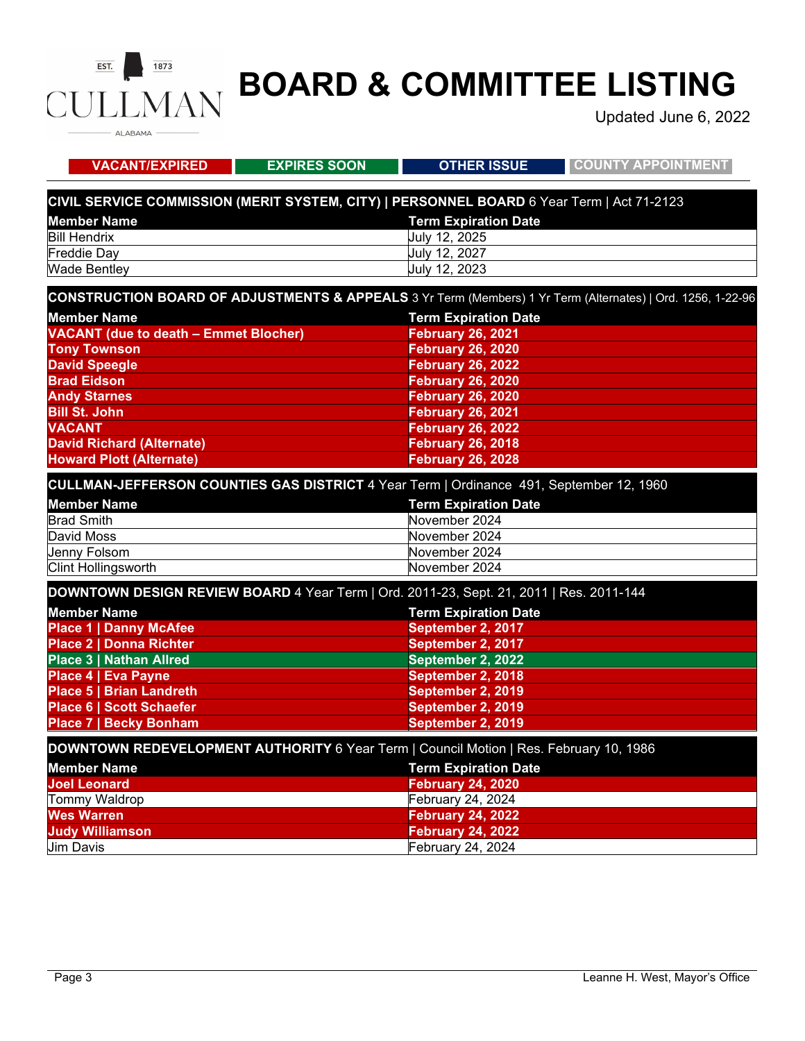#### $\overline{EST.}$  $1873$ **MAN** CU ALABAMA -

## **BOARD & COMMITTEE LISTING**

Updated June 6, 2022

| <b>VACANT/EXPIRED</b>                                                                     | <b>EXPIRES SOON</b> | <b>OTHER ISSUE</b>          | <b>COUNTY APPOINTMENT</b>                                                                                   |
|-------------------------------------------------------------------------------------------|---------------------|-----------------------------|-------------------------------------------------------------------------------------------------------------|
| CIVIL SERVICE COMMISSION (MERIT SYSTEM, CITY)   PERSONNEL BOARD 6 Year Term   Act 71-2123 |                     |                             |                                                                                                             |
| <b>Member Name</b>                                                                        |                     | <b>Term Expiration Date</b> |                                                                                                             |
| <b>Bill Hendrix</b>                                                                       |                     | July 12, 2025               |                                                                                                             |
| <b>Freddie Day</b>                                                                        |                     | July 12, 2027               |                                                                                                             |
| <b>Wade Bentley</b>                                                                       |                     | July 12, 2023               |                                                                                                             |
|                                                                                           |                     |                             | CONSTRUCTION BOARD OF ADJUSTMENTS & APPEALS 3 Yr Term (Members) 1 Yr Term (Alternates)   Ord. 1256, 1-22-96 |
| <b>Member Name</b>                                                                        |                     | <b>Term Expiration Date</b> |                                                                                                             |
| <b>VACANT (due to death - Emmet Blocher)</b>                                              |                     | <b>February 26, 2021</b>    |                                                                                                             |
| <b>Tony Townson</b>                                                                       |                     | <b>February 26, 2020</b>    |                                                                                                             |
| <b>David Speegle</b>                                                                      |                     | <b>February 26, 2022</b>    |                                                                                                             |
| <b>Brad Eidson</b>                                                                        |                     | <b>February 26, 2020</b>    |                                                                                                             |
| <b>Andy Starnes</b>                                                                       |                     | <b>February 26, 2020</b>    |                                                                                                             |
| <b>Bill St. John</b>                                                                      |                     | <b>February 26, 2021</b>    |                                                                                                             |
| <b>VACANT</b>                                                                             |                     | <b>February 26, 2022</b>    |                                                                                                             |
| <b>David Richard (Alternate)</b>                                                          |                     | <b>February 26, 2018</b>    |                                                                                                             |
| <b>Howard Plott (Alternate)</b>                                                           |                     | <b>February 26, 2028</b>    |                                                                                                             |
| CULLMAN-JEFFERSON COUNTIES GAS DISTRICT 4 Year Term   Ordinance 491, September 12, 1960   |                     |                             |                                                                                                             |
| <b>Member Name</b>                                                                        |                     | <b>Term Expiration Date</b> |                                                                                                             |
| <b>Brad Smith</b>                                                                         |                     | November 2024               |                                                                                                             |
| David Moss                                                                                |                     | November 2024               |                                                                                                             |
| Jenny Folsom                                                                              |                     | November 2024               |                                                                                                             |
| Clint Hollingsworth                                                                       |                     | November 2024               |                                                                                                             |
| DOWNTOWN DESIGN REVIEW BOARD 4 Year Term   Ord. 2011-23, Sept. 21, 2011   Res. 2011-144   |                     |                             |                                                                                                             |
| <b>Member Name</b>                                                                        |                     | <b>Term Expiration Date</b> |                                                                                                             |
| <b>Place 1   Danny McAfee</b>                                                             |                     | September 2, 2017           |                                                                                                             |
| <b>Place 2   Donna Richter</b>                                                            |                     | September 2, 2017           |                                                                                                             |
| <b>Place 3   Nathan Allred</b>                                                            |                     | September 2, 2022           |                                                                                                             |
| Place 4   Eva Payne                                                                       |                     | September 2, 2018           |                                                                                                             |
| <b>Place 5   Brian Landreth</b>                                                           |                     | September 2, 2019           |                                                                                                             |
| <b>Place 6   Scott Schaefer</b>                                                           |                     | September 2, 2019           |                                                                                                             |
| <b>Place 7   Becky Bonham</b>                                                             |                     | September 2, 2019           |                                                                                                             |
| DOWNTOWN REDEVELOPMENT AUTHORITY 6 Year Term   Council Motion   Res. February 10, 1986    |                     |                             |                                                                                                             |
| <b>Member Name</b>                                                                        |                     | <b>Term Expiration Date</b> |                                                                                                             |
| <b>Joel Leonard</b>                                                                       |                     | <b>February 24, 2020</b>    |                                                                                                             |
| Tommy Waldrop                                                                             |                     | February 24, 2024           |                                                                                                             |
| <b>Wes Warren</b>                                                                         |                     | <b>February 24, 2022</b>    |                                                                                                             |
| <b>Judy Williamson</b>                                                                    |                     | <b>February 24, 2022</b>    |                                                                                                             |
| <b>Jim Davis</b>                                                                          |                     | February 24, 2024           |                                                                                                             |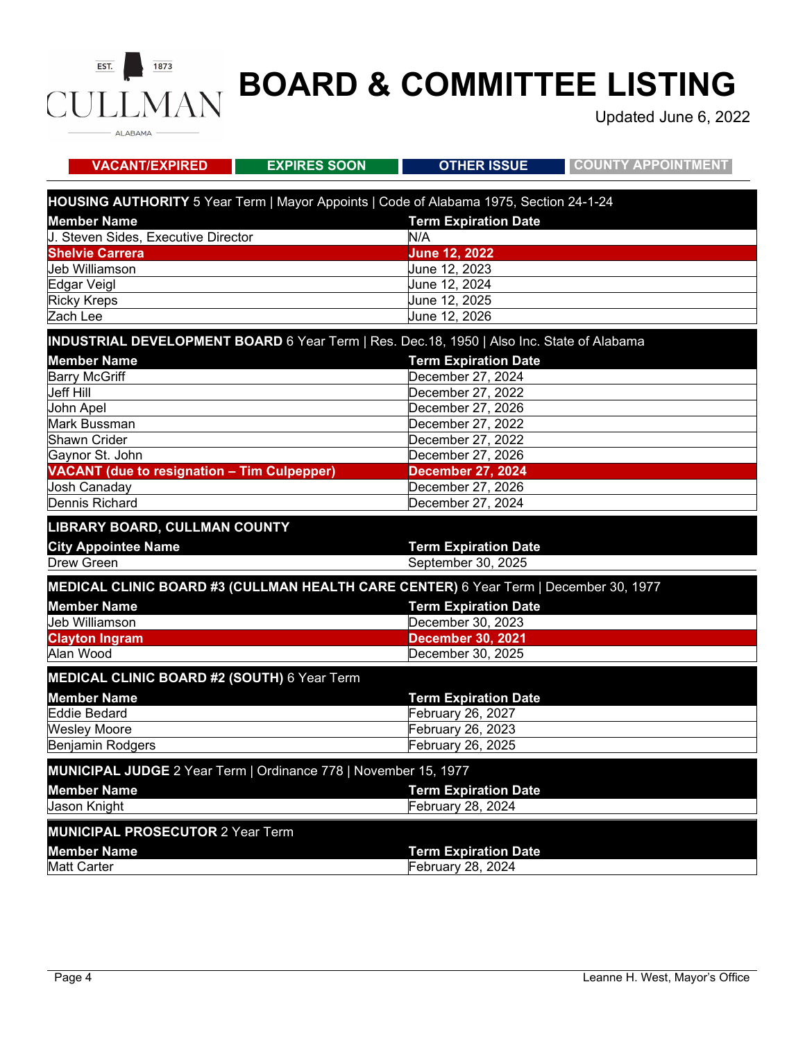

## **BOARD & COMMITTEE LISTING**

Updated June 6, 2022

| <b>VACANT/EXPIRED</b>                                                                     | <b>EXPIRES SOON</b> | <b>OTHER ISSUE</b>          | <b>COUNTY APPOINTMENT</b> |
|-------------------------------------------------------------------------------------------|---------------------|-----------------------------|---------------------------|
| HOUSING AUTHORITY 5 Year Term   Mayor Appoints   Code of Alabama 1975, Section 24-1-24    |                     |                             |                           |
| <b>Member Name</b>                                                                        |                     | <b>Term Expiration Date</b> |                           |
| J. Steven Sides, Executive Director                                                       |                     | N/A                         |                           |
| <b>Shelvie Carrera</b>                                                                    |                     | <b>June 12, 2022</b>        |                           |
| Jeb Williamson                                                                            |                     | June 12, 2023               |                           |
| Edgar Veigl                                                                               |                     | June 12, 2024               |                           |
| <b>Ricky Kreps</b>                                                                        |                     | June 12, 2025               |                           |
| Zach Lee                                                                                  |                     | June 12, 2026               |                           |
| INDUSTRIAL DEVELOPMENT BOARD 6 Year Term   Res. Dec.18, 1950   Also Inc. State of Alabama |                     |                             |                           |
| <b>Member Name</b>                                                                        |                     | <b>Term Expiration Date</b> |                           |
| <b>Barry McGriff</b>                                                                      |                     | December 27, 2024           |                           |
| <b>Jeff Hill</b>                                                                          |                     | December 27, 2022           |                           |
| John Apel                                                                                 |                     | December 27, 2026           |                           |
| Mark Bussman                                                                              |                     | December 27, 2022           |                           |
| Shawn Crider                                                                              |                     | December 27, 2022           |                           |
| Gaynor St. John                                                                           |                     | December 27, 2026           |                           |
| <b>VACANT</b> (due to resignation - Tim Culpepper)                                        |                     | <b>December 27, 2024</b>    |                           |
| Josh Canaday                                                                              |                     | December 27, 2026           |                           |
| Dennis Richard                                                                            |                     | December 27, 2024           |                           |
| LIBRARY BOARD, CULLMAN COUNTY                                                             |                     |                             |                           |
| <b>City Appointee Name</b>                                                                |                     | <b>Term Expiration Date</b> |                           |
| Drew Green                                                                                |                     | September 30, 2025          |                           |
| MEDICAL CLINIC BOARD #3 (CULLMAN HEALTH CARE CENTER) 6 Year Term   December 30, 1977      |                     |                             |                           |
| <b>Member Name</b>                                                                        |                     | <b>Term Expiration Date</b> |                           |
| Jeb Williamson                                                                            |                     | December 30, 2023           |                           |
| <b>Clayton Ingram</b>                                                                     |                     | <b>December 30, 2021</b>    |                           |
| Alan Wood                                                                                 |                     | December 30, 2025           |                           |
|                                                                                           |                     |                             |                           |
| MEDICAL CLINIC BOARD #2 (SOUTH) 6 Year Term                                               |                     |                             |                           |
| <b>Member Name</b>                                                                        |                     | <b>Term Expiration Date</b> |                           |
| <b>Eddie Bedard</b>                                                                       |                     | February 26, 2027           |                           |
| <b>Wesley Moore</b>                                                                       |                     | February 26, 2023           |                           |
| <b>Benjamin Rodgers</b>                                                                   |                     | February 26, 2025           |                           |
| MUNICIPAL JUDGE 2 Year Term   Ordinance 778   November 15, 1977                           |                     |                             |                           |
| <b>Member Name</b>                                                                        |                     | <b>Term Expiration Date</b> |                           |
| Jason Knight                                                                              |                     | February 28, 2024           |                           |
|                                                                                           |                     |                             |                           |
| <b>MUNICIPAL PROSECUTOR 2 Year Term</b>                                                   |                     |                             |                           |
| <b>Member Name</b>                                                                        |                     | <b>Term Expiration Date</b> |                           |
| <b>Matt Carter</b>                                                                        |                     | February 28, 2024           |                           |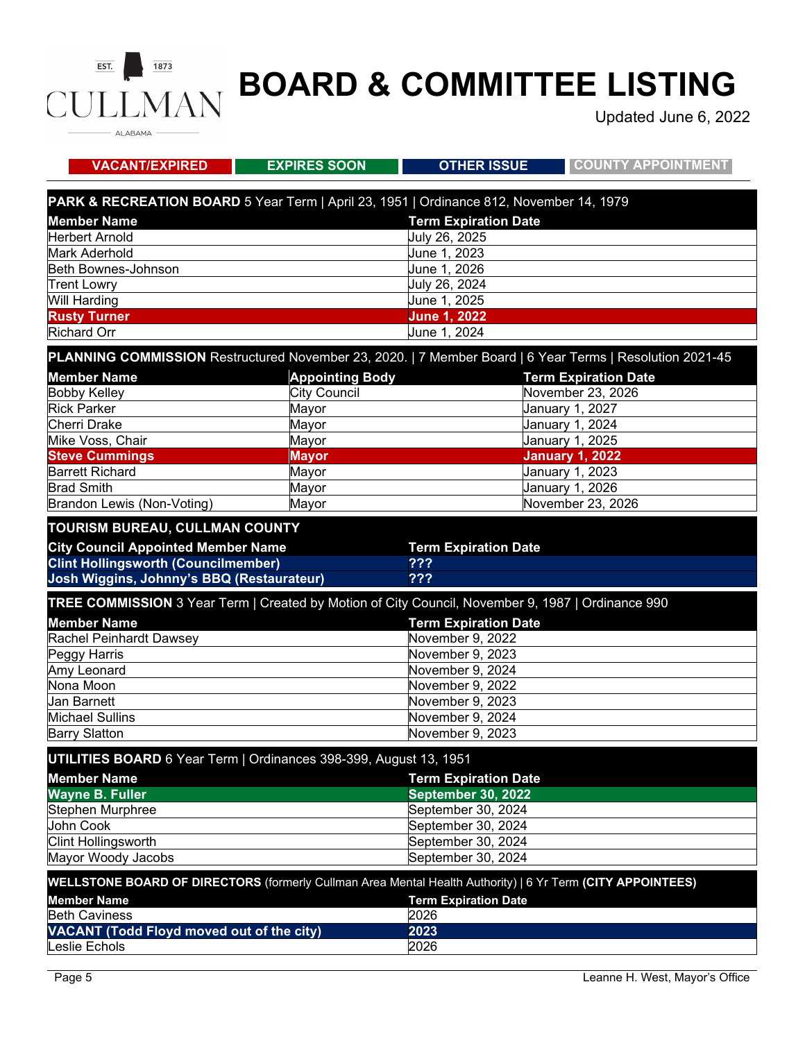#### $\overline{EST.}$  $1873$ **MAN** CU ALABAMA -

## **BOARD & COMMITTEE LISTING**

Updated June 6, 2022

| <b>VACANT/EXPIRED</b>                                                                                      | <b>EXPIRES SOON</b>    | <b>OTHER ISSUE</b>          | <b>COUNTY APPOINTMENT</b>                                                                                |  |
|------------------------------------------------------------------------------------------------------------|------------------------|-----------------------------|----------------------------------------------------------------------------------------------------------|--|
| PARK & RECREATION BOARD 5 Year Term   April 23, 1951   Ordinance 812, November 14, 1979                    |                        |                             |                                                                                                          |  |
| <b>Member Name</b>                                                                                         |                        | <b>Term Expiration Date</b> |                                                                                                          |  |
| <b>Herbert Arnold</b>                                                                                      |                        | July 26, 2025               |                                                                                                          |  |
| <b>Mark Aderhold</b>                                                                                       |                        | June 1, 2023                |                                                                                                          |  |
| Beth Bownes-Johnson                                                                                        |                        | June 1, 2026                |                                                                                                          |  |
| <b>Trent Lowry</b>                                                                                         |                        | July 26, 2024               |                                                                                                          |  |
| <b>Will Harding</b>                                                                                        |                        | June 1, 2025                |                                                                                                          |  |
| <b>Rusty Turner</b>                                                                                        |                        | <b>June 1, 2022</b>         |                                                                                                          |  |
| <b>Richard Orr</b>                                                                                         |                        | June 1, 2024                |                                                                                                          |  |
|                                                                                                            |                        |                             | PLANNING COMMISSION Restructured November 23, 2020.   7 Member Board   6 Year Terms   Resolution 2021-45 |  |
| <b>Member Name</b>                                                                                         | <b>Appointing Body</b> |                             | <b>Term Expiration Date</b>                                                                              |  |
| <b>Bobby Kelley</b>                                                                                        | <b>City Council</b>    |                             | November 23, 2026                                                                                        |  |
| <b>Rick Parker</b>                                                                                         | Mayor                  |                             | <b>January 1, 2027</b>                                                                                   |  |
| Cherri Drake                                                                                               | Mayor                  |                             | January 1, 2024                                                                                          |  |
| Mike Voss, Chair                                                                                           | Mayor                  |                             | January 1, 2025                                                                                          |  |
| <b>Steve Cummings</b>                                                                                      | <b>Mayor</b>           |                             | <b>January 1, 2022</b>                                                                                   |  |
| <b>Barrett Richard</b><br><b>Brad Smith</b>                                                                | Mayor                  |                             | January 1, 2023                                                                                          |  |
| Brandon Lewis (Non-Voting)                                                                                 | Mayor                  |                             | January 1, 2026<br>November 23, 2026                                                                     |  |
|                                                                                                            | Mayor                  |                             |                                                                                                          |  |
| <b>TOURISM BUREAU, CULLMAN COUNTY</b>                                                                      |                        |                             |                                                                                                          |  |
| <b>City Council Appointed Member Name</b>                                                                  |                        | <b>Term Expiration Date</b> |                                                                                                          |  |
| <b>Clint Hollingsworth (Councilmember)</b>                                                                 |                        | ???                         |                                                                                                          |  |
| Josh Wiggins, Johnny's BBQ (Restaurateur)                                                                  |                        | ???                         |                                                                                                          |  |
| TREE COMMISSION 3 Year Term   Created by Motion of City Council, November 9, 1987   Ordinance 990          |                        |                             |                                                                                                          |  |
| <b>Member Name</b>                                                                                         |                        | <b>Term Expiration Date</b> |                                                                                                          |  |
| Rachel Peinhardt Dawsey                                                                                    |                        | November 9, 2022            |                                                                                                          |  |
| Peggy Harris                                                                                               |                        |                             | November 9, 2023                                                                                         |  |
| Amy Leonard                                                                                                |                        | November 9, 2024            |                                                                                                          |  |
| Nona Moon                                                                                                  |                        | November 9, 2022            |                                                                                                          |  |
| <b>Jan Barnett</b>                                                                                         |                        | November 9, 2023            |                                                                                                          |  |
| <b>Michael Sullins</b>                                                                                     |                        | November 9, 2024            |                                                                                                          |  |
| <b>Barry Slatton</b>                                                                                       |                        | November 9, 2023            |                                                                                                          |  |
| UTILITIES BOARD 6 Year Term   Ordinances 398-399, August 13, 1951                                          |                        |                             |                                                                                                          |  |
| <b>Member Name</b>                                                                                         |                        | <b>Term Expiration Date</b> |                                                                                                          |  |
| <b>Wayne B. Fuller</b><br><b>September 30, 2022</b>                                                        |                        |                             |                                                                                                          |  |
| Stephen Murphree                                                                                           | September 30, 2024     |                             |                                                                                                          |  |
| John Cook                                                                                                  |                        | September 30, 2024          |                                                                                                          |  |
| <b>Clint Hollingsworth</b>                                                                                 |                        | September 30, 2024          |                                                                                                          |  |
| Mayor Woody Jacobs                                                                                         |                        | September 30, 2024          |                                                                                                          |  |
| WELLSTONE BOARD OF DIRECTORS (formerly Cullman Area Mental Health Authority)   6 Yr Term (CITY APPOINTEES) |                        |                             |                                                                                                          |  |
| <b>Term Expiration Date</b><br><b>Member Name</b>                                                          |                        |                             |                                                                                                          |  |
| <b>Beth Caviness</b>                                                                                       |                        | 2026                        |                                                                                                          |  |
| <b>VACANT (Todd Floyd moved out of the city)</b>                                                           |                        | 2023                        |                                                                                                          |  |
| eslie Echols                                                                                               |                        | 2026                        |                                                                                                          |  |